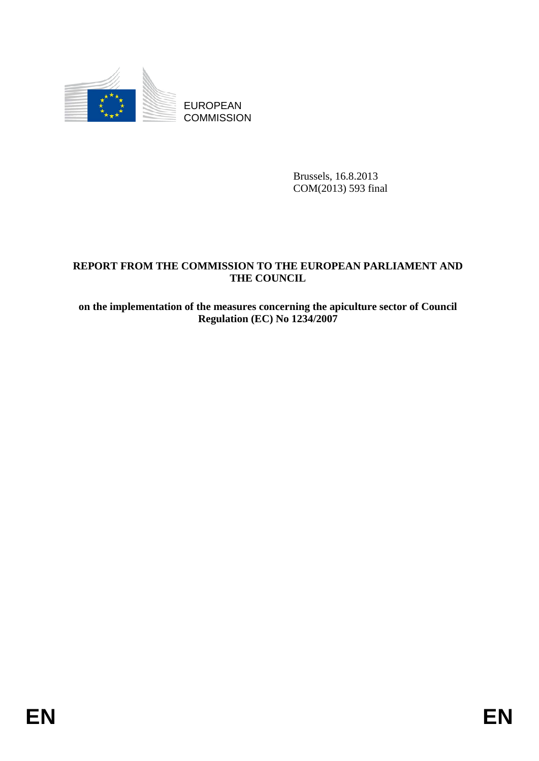

EUROPEAN **COMMISSION** 

> Brussels, 16.8.2013 COM(2013) 593 final

### **REPORT FROM THE COMMISSION TO THE EUROPEAN PARLIAMENT AND THE COUNCIL**

**on the implementation of the measures concerning the apiculture sector of Council Regulation (EC) No 1234/2007**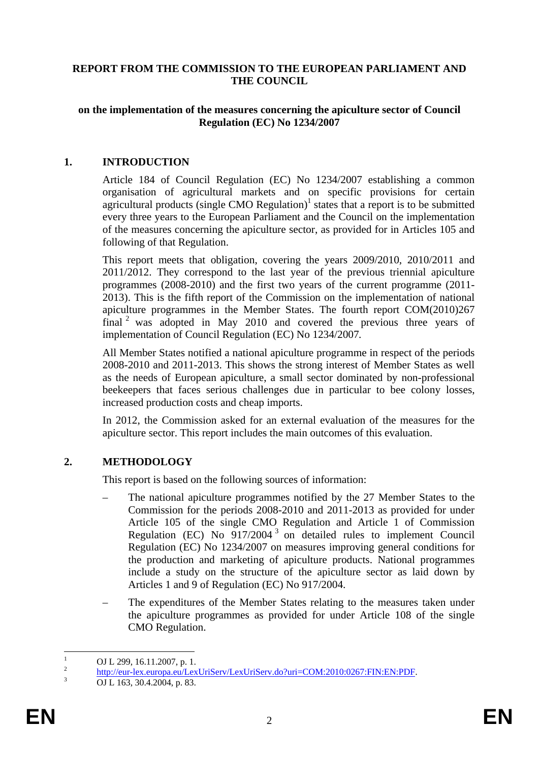#### **REPORT FROM THE COMMISSION TO THE EUROPEAN PARLIAMENT AND THE COUNCIL**

### **on the implementation of the measures concerning the apiculture sector of Council Regulation (EC) No 1234/2007**

### **1. INTRODUCTION**

Article 184 of Council Regulation (EC) No 1234/2007 establishing a common organisation of agricultural markets and on specific provisions for certain agricultural products (single CMO Regulation) $<sup>1</sup>$  states that a report is to be submitted</sup> every three years to the European Parliament and the Council on the implementation of the measures concerning the apiculture sector, as provided for in Articles 105 and following of that Regulation.

This report meets that obligation, covering the years 2009/2010, 2010/2011 and 2011/2012. They correspond to the last year of the previous triennial apiculture programmes (2008-2010) and the first two years of the current programme (2011- 2013). This is the fifth report of the Commission on the implementation of national apiculture programmes in the Member States. The fourth report COM(2010)267 final 2 was adopted in May 2010 and covered the previous three years of implementation of Council Regulation (EC) No 1234/2007*.* 

All Member States notified a national apiculture programme in respect of the periods 2008-2010 and 2011-2013. This shows the strong interest of Member States as well as the needs of European apiculture, a small sector dominated by non-professional beekeepers that faces serious challenges due in particular to bee colony losses, increased production costs and cheap imports.

In 2012, the Commission asked for an external evaluation of the measures for the apiculture sector. This report includes the main outcomes of this evaluation.

### **2. METHODOLOGY**

This report is based on the following sources of information:

- The national apiculture programmes notified by the 27 Member States to the Commission for the periods 2008-2010 and 2011-2013 as provided for under Article 105 of the single CMO Regulation and Article 1 of Commission Regulation (EC) No  $\frac{6}{917/2004}$ <sup>3</sup> on detailed rules to implement Council Regulation (EC) No 1234/2007 on measures improving general conditions for the production and marketing of apiculture products. National programmes include a study on the structure of the apiculture sector as laid down by Articles 1 and 9 of Regulation (EC) No 917/2004.
- The expenditures of the Member States relating to the measures taken under the apiculture programmes as provided for under Article 108 of the single CMO Regulation.

 $\frac{1}{1}$  $\frac{1}{2}$  OJ L 299, 16.11.2007, p. 1.

 $\frac{2}{3}$  [http://eur](http://eur-lex.europa.eu/LexUriServ/LexUriServ.do?uri=COM:2010:0267:FIN:EN:PDF)-lex.europa.eu/LexUriServ/LexUriServ.do?uri=COM:2010:0267:FIN:EN:PDF.

OJ L 163, 30.4.2004, p. 83.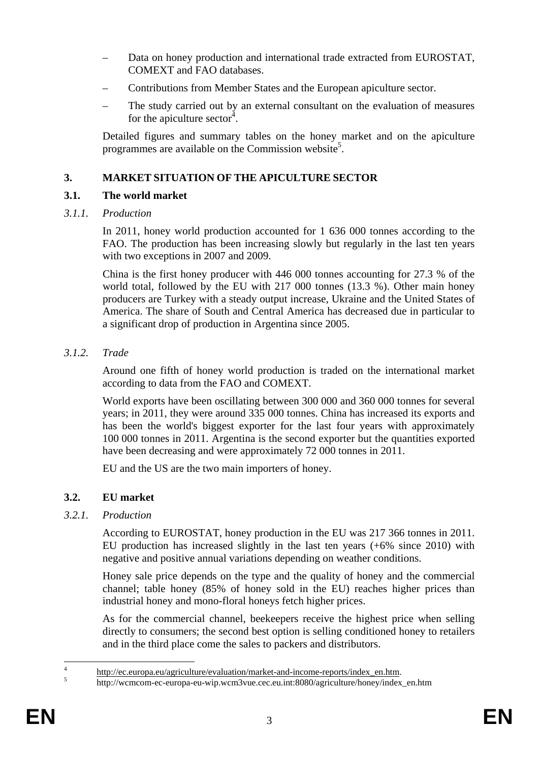- Data on honey production and international trade extracted from EUROSTAT, COMEXT and FAO databases.
- Contributions from Member States and the European apiculture sector.
- The study carried out by an external consultant on the evaluation of measures for the apiculture sector<sup>4</sup>.

Detailed figures and summary tables on the honey market and on the apiculture programmes are available on the Commission website<sup>5</sup>.

# **3. MARKET SITUATION OF THE APICULTURE SECTOR**

# **3.1. The world market**

*3.1.1. Production* 

In 2011, honey world production accounted for 1 636 000 tonnes according to the FAO. The production has been increasing slowly but regularly in the last ten years with two exceptions in 2007 and 2009.

China is the first honey producer with 446 000 tonnes accounting for 27.3 % of the world total, followed by the EU with 217 000 tonnes (13.3 %). Other main honey producers are Turkey with a steady output increase, Ukraine and the United States of America. The share of South and Central America has decreased due in particular to a significant drop of production in Argentina since 2005.

*3.1.2. Trade* 

Around one fifth of honey world production is traded on the international market according to data from the FAO and COMEXT.

World exports have been oscillating between 300 000 and 360 000 tonnes for several years; in 2011, they were around 335 000 tonnes. China has increased its exports and has been the world's biggest exporter for the last four years with approximately 100 000 tonnes in 2011. Argentina is the second exporter but the quantities exported have been decreasing and were approximately 72 000 tonnes in 2011.

EU and the US are the two main importers of honey.

# **3.2. EU market**

# *3.2.1. Production*

According to EUROSTAT, honey production in the EU was 217 366 tonnes in 2011. EU production has increased slightly in the last ten years (+6% since 2010) with negative and positive annual variations depending on weather conditions.

Honey sale price depends on the type and the quality of honey and the commercial channel; table honey (85% of honey sold in the EU) reaches higher prices than industrial honey and mono-floral honeys fetch higher prices.

As for the commercial channel, beekeepers receive the highest price when selling directly to consumers; the second best option is selling conditioned honey to retailers and in the third place come the sales to packers and distributors.

 $\frac{1}{4}$  $\frac{1}{5}$  [http://ec.europa.eu/agriculture/evaluat](http://ec.europa.eu/agriculture/evaluation/market-and-income-reports/index_en.htm)ion/market-and-income-reports/index\_en.htm.

[http://wcmcom-ec-europa-eu-wip.wcm3vue.cec.eu.int:8080/agriculture/honey/index\\_en.htm](http://wcmcom-ec-europa-eu-wip.wcm3vue.cec.eu.int:8080/agriculture/honey/index_en.htm)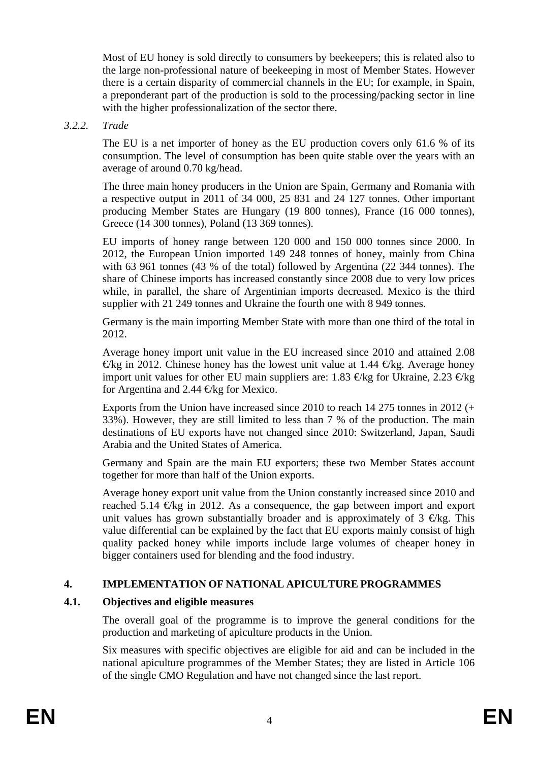Most of EU honey is sold directly to consumers by beekeepers; this is related also to the large non-professional nature of beekeeping in most of Member States. However there is a certain disparity of commercial channels in the EU; for example, in Spain, a preponderant part of the production is sold to the processing/packing sector in line with the higher professionalization of the sector there.

### *3.2.2. Trade*

The EU is a net importer of honey as the EU production covers only 61.6 % of its consumption. The level of consumption has been quite stable over the years with an average of around 0.70 kg/head.

The three main honey producers in the Union are Spain, Germany and Romania with a respective output in 2011 of 34 000, 25 831 and 24 127 tonnes. Other important producing Member States are Hungary (19 800 tonnes), France (16 000 tonnes), Greece (14 300 tonnes), Poland (13 369 tonnes).

EU imports of honey range between 120 000 and 150 000 tonnes since 2000. In 2012, the European Union imported 149 248 tonnes of honey, mainly from China with 63 961 tonnes (43 % of the total) followed by Argentina (22 344 tonnes). The share of Chinese imports has increased constantly since 2008 due to very low prices while, in parallel, the share of Argentinian imports decreased. Mexico is the third supplier with 21 249 tonnes and Ukraine the fourth one with 8 949 tonnes.

Germany is the main importing Member State with more than one third of the total in 2012.

Average honey import unit value in the EU increased since 2010 and attained 2.08  $\Theta$ kg in 2012. Chinese honey has the lowest unit value at 1.44  $\Theta$ kg. Average honey import unit values for other EU main suppliers are: 1.83  $\epsilon$ kg for Ukraine, 2.23  $\epsilon$ kg for Argentina and 2.44  $\bigoplus$ kg for Mexico.

Exports from the Union have increased since 2010 to reach 14 275 tonnes in 2012 (+ 33%). However, they are still limited to less than 7 % of the production. The main destinations of EU exports have not changed since 2010: Switzerland, Japan, Saudi Arabia and the United States of America.

Germany and Spain are the main EU exporters; these two Member States account together for more than half of the Union exports.

Average honey export unit value from the Union constantly increased since 2010 and reached 5.14  $\oplus$ kg in 2012. As a consequence, the gap between import and export unit values has grown substantially broader and is approximately of  $3 \in \mathbb{K}$ g. This value differential can be explained by the fact that EU exports mainly consist of high quality packed honey while imports include large volumes of cheaper honey in bigger containers used for blending and the food industry.

### **4. IMPLEMENTATION OF NATIONAL APICULTURE PROGRAMMES**

### **4.1. Objectives and eligible measures**

The overall goal of the programme is to improve the general conditions for the production and marketing of apiculture products in the Union.

Six measures with specific objectives are eligible for aid and can be included in the national apiculture programmes of the Member States; they are listed in Article 106 of the single CMO Regulation and have not changed since the last report.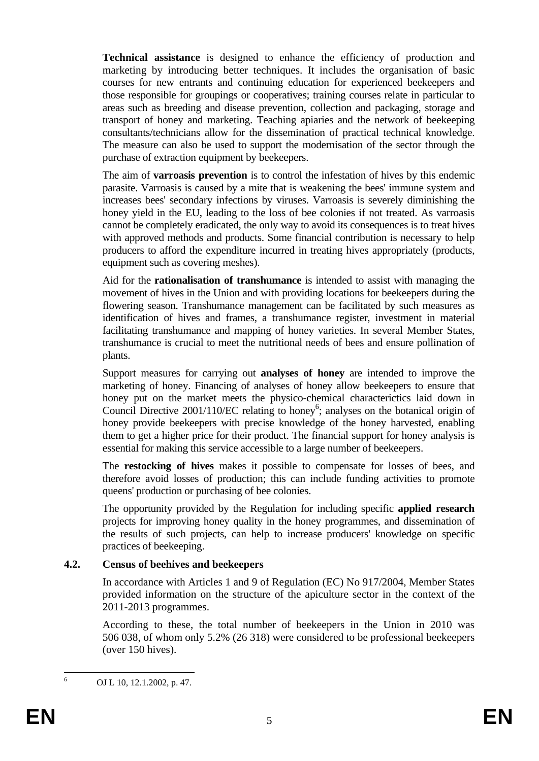**Technical assistance** is designed to enhance the efficiency of production and marketing by introducing better techniques. It includes the organisation of basic courses for new entrants and continuing education for experienced beekeepers and those responsible for groupings or cooperatives; training courses relate in particular to areas such as breeding and disease prevention, collection and packaging, storage and transport of honey and marketing. Teaching apiaries and the network of beekeeping consultants/technicians allow for the dissemination of practical technical knowledge. The measure can also be used to support the modernisation of the sector through the purchase of extraction equipment by beekeepers.

The aim of **varroasis prevention** is to control the infestation of hives by this endemic parasite. Varroasis is caused by a mite that is weakening the bees' immune system and increases bees' secondary infections by viruses. Varroasis is severely diminishing the honey yield in the EU, leading to the loss of bee colonies if not treated. As varroasis cannot be completely eradicated, the only way to avoid its consequences is to treat hives with approved methods and products. Some financial contribution is necessary to help producers to afford the expenditure incurred in treating hives appropriately (products, equipment such as covering meshes).

Aid for the **rationalisation of transhumance** is intended to assist with managing the movement of hives in the Union and with providing locations for beekeepers during the flowering season. Transhumance management can be facilitated by such measures as identification of hives and frames, a transhumance register, investment in material facilitating transhumance and mapping of honey varieties. In several Member States, transhumance is crucial to meet the nutritional needs of bees and ensure pollination of plants.

Support measures for carrying out **analyses of honey** are intended to improve the marketing of honey. Financing of analyses of honey allow beekeepers to ensure that honey put on the market meets the physico-chemical characterictics laid down in Council Directive 2001/110/EC relating to honey<sup>6</sup>; analyses on the botanical origin of honey provide beekeepers with precise knowledge of the honey harvested, enabling them to get a higher price for their product. The financial support for honey analysis is essential for making this service accessible to a large number of beekeepers.

The **restocking of hives** makes it possible to compensate for losses of bees, and therefore avoid losses of production; this can include funding activities to promote queens' production or purchasing of bee colonies.

The opportunity provided by the Regulation for including specific **applied research** projects for improving honey quality in the honey programmes, and dissemination of the results of such projects, can help to increase producers' knowledge on specific practices of beekeeping.

### **4.2. Census of beehives and beekeepers**

In accordance with Articles 1 and 9 of Regulation (EC) No 917/2004, Member States provided information on the structure of the apiculture sector in the context of the 2011-2013 programmes.

According to these, the total number of beekeepers in the Union in 2010 was 506 038, of whom only 5.2% (26 318) were considered to be professional beekeepers (over 150 hives).

 $\frac{1}{6}$ 

OJ L 10, 12.1.2002, p. 47.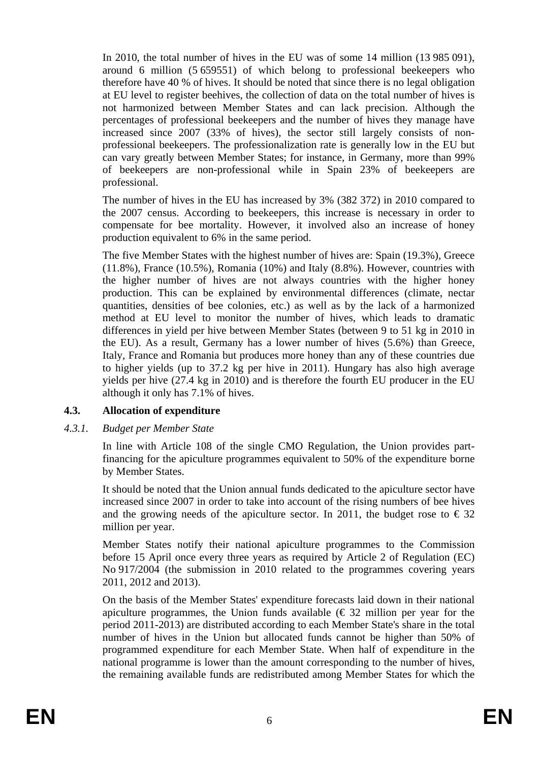In 2010, the total number of hives in the EU was of some 14 million (13 985 091), around 6 million (5 659551) of which belong to professional beekeepers who therefore have 40 % of hives. It should be noted that since there is no legal obligation at EU level to register beehives, the collection of data on the total number of hives is not harmonized between Member States and can lack precision. Although the percentages of professional beekeepers and the number of hives they manage have increased since 2007 (33% of hives), the sector still largely consists of nonprofessional beekeepers. The professionalization rate is generally low in the EU but can vary greatly between Member States; for instance, in Germany, more than 99% of beekeepers are non-professional while in Spain 23% of beekeepers are professional.

The number of hives in the EU has increased by 3% (382 372) in 2010 compared to the 2007 census. According to beekeepers, this increase is necessary in order to compensate for bee mortality. However, it involved also an increase of honey production equivalent to 6% in the same period.

The five Member States with the highest number of hives are: Spain (19.3%), Greece (11.8%), France (10.5%), Romania (10%) and Italy (8.8%). However, countries with the higher number of hives are not always countries with the higher honey production. This can be explained by environmental differences (climate, nectar quantities, densities of bee colonies, etc.) as well as by the lack of a harmonized method at EU level to monitor the number of hives, which leads to dramatic differences in yield per hive between Member States (between 9 to 51 kg in 2010 in the EU). As a result, Germany has a lower number of hives (5.6%) than Greece, Italy, France and Romania but produces more honey than any of these countries due to higher yields (up to 37.2 kg per hive in 2011). Hungary has also high average yields per hive (27.4 kg in 2010) and is therefore the fourth EU producer in the EU although it only has 7.1% of hives.

### **4.3. Allocation of expenditure**

### *4.3.1. Budget per Member State*

In line with Article 108 of the single CMO Regulation, the Union provides partfinancing for the apiculture programmes equivalent to 50% of the expenditure borne by Member States.

It should be noted that the Union annual funds dedicated to the apiculture sector have increased since 2007 in order to take into account of the rising numbers of bee hives and the growing needs of the apiculture sector. In 2011, the budget rose to  $\epsilon$  32 million per year.

Member States notify their national apiculture programmes to the Commission before 15 April once every three years as required by Article 2 of Regulation (EC) No 917/2004 (the submission in 2010 related to the programmes covering years 2011, 2012 and 2013).

On the basis of the Member States' expenditure forecasts laid down in their national apiculture programmes, the Union funds available  $(\epsilon)$  as a million per year for the period 2011-2013) are distributed according to each Member State's share in the total number of hives in the Union but allocated funds cannot be higher than 50% of programmed expenditure for each Member State. When half of expenditure in the national programme is lower than the amount corresponding to the number of hives, the remaining available funds are redistributed among Member States for which the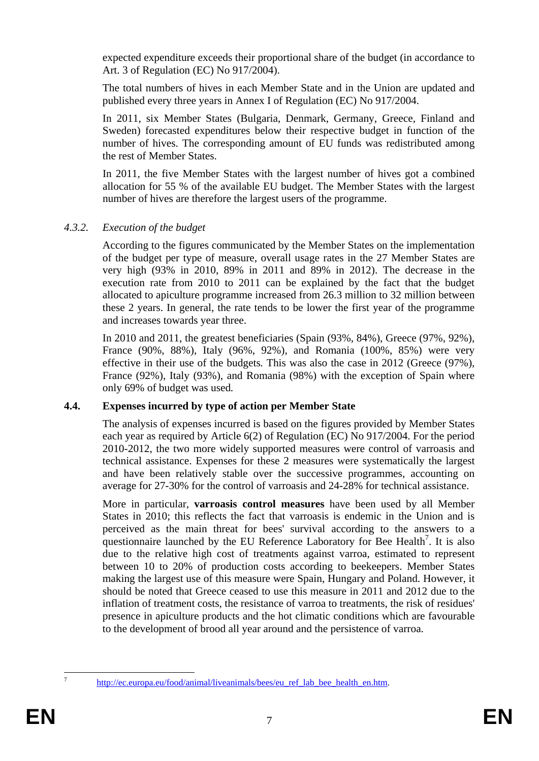expected expenditure exceeds their proportional share of the budget (in accordance to Art. 3 of Regulation (EC) No 917/2004).

The total numbers of hives in each Member State and in the Union are updated and published every three years in Annex I of Regulation (EC) No 917/2004.

In 2011, six Member States (Bulgaria, Denmark, Germany, Greece, Finland and Sweden) forecasted expenditures below their respective budget in function of the number of hives. The corresponding amount of EU funds was redistributed among the rest of Member States.

In 2011, the five Member States with the largest number of hives got a combined allocation for 55 % of the available EU budget. The Member States with the largest number of hives are therefore the largest users of the programme.

### *4.3.2. Execution of the budget*

According to the figures communicated by the Member States on the implementation of the budget per type of measure, overall usage rates in the 27 Member States are very high (93% in 2010, 89% in 2011 and 89% in 2012). The decrease in the execution rate from 2010 to 2011 can be explained by the fact that the budget allocated to apiculture programme increased from 26.3 million to 32 million between these 2 years. In general, the rate tends to be lower the first year of the programme and increases towards year three.

In 2010 and 2011, the greatest beneficiaries (Spain (93%, 84%), Greece (97%, 92%), France (90%, 88%), Italy (96%, 92%), and Romania (100%, 85%) were very effective in their use of the budgets*.* This was also the case in 2012 (Greece (97%), France (92%), Italy (93%), and Romania (98%) with the exception of Spain where only 69% of budget was used*.* 

### **4.4. Expenses incurred by type of action per Member State**

The analysis of expenses incurred is based on the figures provided by Member States each year as required by Article 6(2) of Regulation (EC) No 917/2004. For the period 2010-2012, the two more widely supported measures were control of varroasis and technical assistance. Expenses for these 2 measures were systematically the largest and have been relatively stable over the successive programmes, accounting on average for 27-30% for the control of varroasis and 24-28% for technical assistance.

More in particular, **varroasis control measures** have been used by all Member States in 2010; this reflects the fact that varroasis is endemic in the Union and is perceived as the main threat for bees' survival according to the answers to a questionnaire launched by the EU Reference Laboratory for Bee Health<sup>7</sup>. It is also due to the relative high cost of treatments against varroa, estimated to represent between 10 to 20% of production costs according to beekeepers. Member States making the largest use of this measure were Spain, Hungary and Poland. However, it should be noted that Greece ceased to use this measure in 2011 and 2012 due to the inflation of treatment costs, the resistance of varroa to treatments, the risk of residues' presence in apiculture products and the hot climatic conditions which are favourable to the development of brood all year around and the persistence of varroa.

 $\overline{7}$ 

http://ec.europa.eu/food/animal/liveanimals/bees/eu\_ref\_lab\_bee\_health\_en.htm.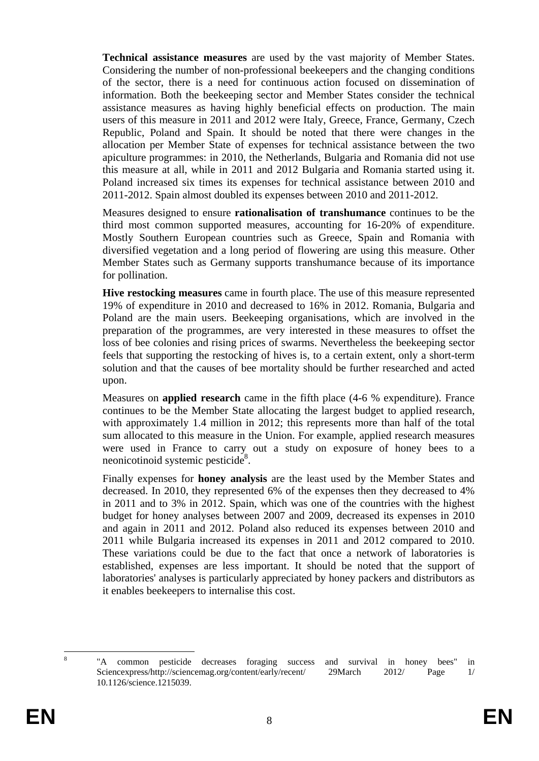**Technical assistance measures** are used by the vast majority of Member States. Considering the number of non-professional beekeepers and the changing conditions of the sector, there is a need for continuous action focused on dissemination of information. Both the beekeeping sector and Member States consider the technical assistance measures as having highly beneficial effects on production. The main users of this measure in 2011 and 2012 were Italy, Greece, France, Germany, Czech Republic, Poland and Spain. It should be noted that there were changes in the allocation per Member State of expenses for technical assistance between the two apiculture programmes: in 2010, the Netherlands, Bulgaria and Romania did not use this measure at all, while in 2011 and 2012 Bulgaria and Romania started using it. Poland increased six times its expenses for technical assistance between 2010 and 2011-2012. Spain almost doubled its expenses between 2010 and 2011-2012.

Measures designed to ensure **rationalisation of transhumance** continues to be the third most common supported measures, accounting for 16-20% of expenditure. Mostly Southern European countries such as Greece, Spain and Romania with diversified vegetation and a long period of flowering are using this measure. Other Member States such as Germany supports transhumance because of its importance for pollination.

**Hive restocking measures** came in fourth place. The use of this measure represented 19% of expenditure in 2010 and decreased to 16% in 2012. Romania, Bulgaria and Poland are the main users. Beekeeping organisations, which are involved in the preparation of the programmes, are very interested in these measures to offset the loss of bee colonies and rising prices of swarms. Nevertheless the beekeeping sector feels that supporting the restocking of hives is, to a certain extent, only a short-term solution and that the causes of bee mortality should be further researched and acted upon.

Measures on **applied research** came in the fifth place (4-6 % expenditure). France continues to be the Member State allocating the largest budget to applied research, with approximately 1.4 million in 2012; this represents more than half of the total sum allocated to this measure in the Union. For example, applied research measures were used in France to carry out a study on exposure of honey bees to a neonicotinoid systemic pesticide<sup>8</sup>.

Finally expenses for **honey analysis** are the least used by the Member States and decreased. In 2010, they represented 6% of the expenses then they decreased to 4% in 2011 and to 3% in 2012. Spain, which was one of the countries with the highest budget for honey analyses between 2007 and 2009, decreased its expenses in 2010 and again in 2011 and 2012. Poland also reduced its expenses between 2010 and 2011 while Bulgaria increased its expenses in 2011 and 2012 compared to 2010. These variations could be due to the fact that once a network of laboratories is established, expenses are less important. It should be noted that the support of laboratories' analyses is particularly appreciated by honey packers and distributors as it enables beekeepers to internalise this cost.

 $\frac{1}{8}$ 

 <sup>&</sup>quot;A common pesticide decreases foraging success and survival in honey bees" in Sciencexpress/http://sciencemag.org/content/early/recent/ 29March 2012/ Page 1/ 10.1126/science.1215039.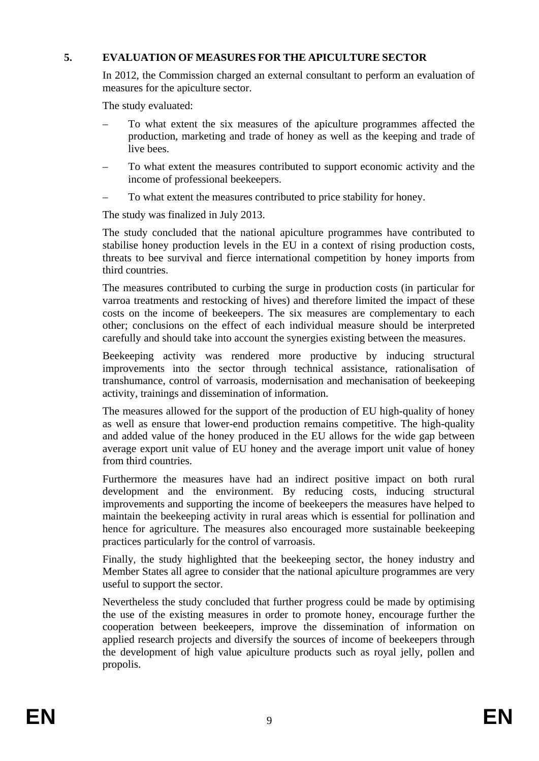### **5. EVALUATION OF MEASURES FOR THE APICULTURE SECTOR**

In 2012, the Commission charged an external consultant to perform an evaluation of measures for the apiculture sector.

The study evaluated:

- To what extent the six measures of the apiculture programmes affected the production, marketing and trade of honey as well as the keeping and trade of live bees.
- To what extent the measures contributed to support economic activity and the income of professional beekeepers.
- To what extent the measures contributed to price stability for honey.

The study was finalized in July 2013.

The study concluded that the national apiculture programmes have contributed to stabilise honey production levels in the EU in a context of rising production costs, threats to bee survival and fierce international competition by honey imports from third countries.

The measures contributed to curbing the surge in production costs (in particular for varroa treatments and restocking of hives) and therefore limited the impact of these costs on the income of beekeepers. The six measures are complementary to each other; conclusions on the effect of each individual measure should be interpreted carefully and should take into account the synergies existing between the measures.

Beekeeping activity was rendered more productive by inducing structural improvements into the sector through technical assistance, rationalisation of transhumance, control of varroasis, modernisation and mechanisation of beekeeping activity, trainings and dissemination of information.

The measures allowed for the support of the production of EU high-quality of honey as well as ensure that lower-end production remains competitive. The high-quality and added value of the honey produced in the EU allows for the wide gap between average export unit value of EU honey and the average import unit value of honey from third countries.

Furthermore the measures have had an indirect positive impact on both rural development and the environment. By reducing costs, inducing structural improvements and supporting the income of beekeepers the measures have helped to maintain the beekeeping activity in rural areas which is essential for pollination and hence for agriculture. The measures also encouraged more sustainable beekeeping practices particularly for the control of varroasis.

Finally, the study highlighted that the beekeeping sector, the honey industry and Member States all agree to consider that the national apiculture programmes are very useful to support the sector.

Nevertheless the study concluded that further progress could be made by optimising the use of the existing measures in order to promote honey, encourage further the cooperation between beekeepers, improve the dissemination of information on applied research projects and diversify the sources of income of beekeepers through the development of high value apiculture products such as royal jelly, pollen and propolis.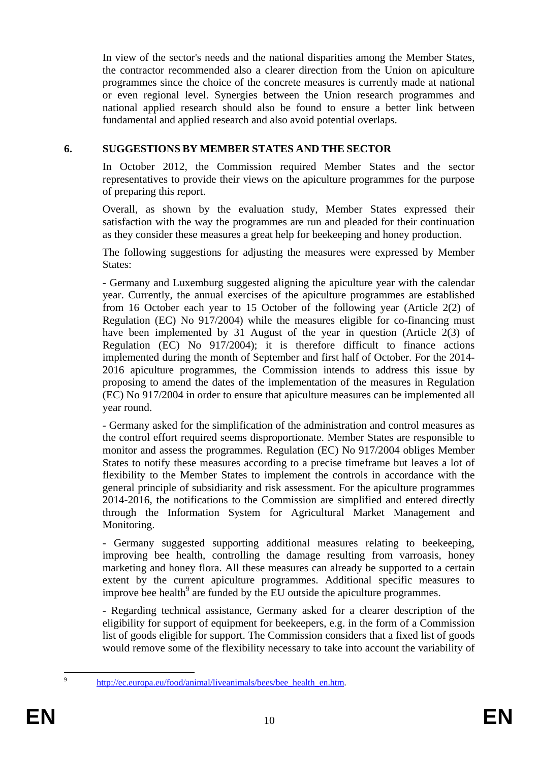In view of the sector's needs and the national disparities among the Member States, the contractor recommended also a clearer direction from the Union on apiculture programmes since the choice of the concrete measures is currently made at national or even regional level. Synergies between the Union research programmes and national applied research should also be found to ensure a better link between fundamental and applied research and also avoid potential overlaps.

## **6. SUGGESTIONS BY MEMBER STATES AND THE SECTOR**

In October 2012, the Commission required Member States and the sector representatives to provide their views on the apiculture programmes for the purpose of preparing this report.

Overall, as shown by the evaluation study, Member States expressed their satisfaction with the way the programmes are run and pleaded for their continuation as they consider these measures a great help for beekeeping and honey production.

The following suggestions for adjusting the measures were expressed by Member States:

- Germany and Luxemburg suggested aligning the apiculture year with the calendar year. Currently, the annual exercises of the apiculture programmes are established from 16 October each year to 15 October of the following year (Article 2(2) of Regulation (EC) No 917/2004) while the measures eligible for co-financing must have been implemented by 31 August of the year in question (Article 2(3) of Regulation (EC) No 917/2004); it is therefore difficult to finance actions implemented during the month of September and first half of October. For the 2014- 2016 apiculture programmes, the Commission intends to address this issue by proposing to amend the dates of the implementation of the measures in Regulation (EC) No 917/2004 in order to ensure that apiculture measures can be implemented all year round.

- Germany asked for the simplification of the administration and control measures as the control effort required seems disproportionate. Member States are responsible to monitor and assess the programmes. Regulation (EC) No 917/2004 obliges Member States to notify these measures according to a precise timeframe but leaves a lot of flexibility to the Member States to implement the controls in accordance with the general principle of subsidiarity and risk assessment. For the apiculture programmes 2014-2016, the notifications to the Commission are simplified and entered directly through the Information System for Agricultural Market Management and Monitoring.

- Germany suggested supporting additional measures relating to beekeeping, improving bee health, controlling the damage resulting from varroasis, honey marketing and honey flora. All these measures can already be supported to a certain extent by the current apiculture programmes. Additional specific measures to improve bee health<sup>9</sup> are funded by the EU outside the apiculture programmes.

- Regarding technical assistance, Germany asked for a clearer description of the eligibility for support of equipment for beekeepers, e.g. in the form of a Commission list of goods eligible for support. The Commission considers that a fixed list of goods would remove some of the flexibility necessary to take into account the variability of

-<br>9

http://ec.europa.eu/food/animal/liveanimals/bees/bee\_health\_en.htm.